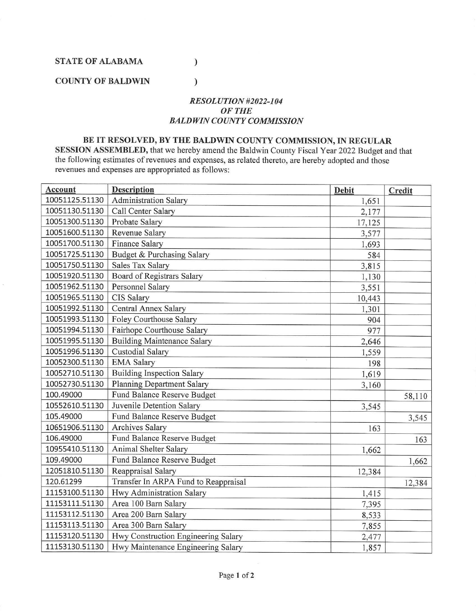**STATE OF ALABAMA** 

## **COUNTY OF BALDWIN**

## *RESOLUTION #2022-104 OFTHE BALDWIN COUNTY COMMISSION*

)

)

## **BE IT RESOLVED, BY THE BALDWIN COUNTY COMMISSION,** IN **REGULAR**

**SESSION ASSEMBLED,** that we hereby amend the Baldwin County Fiscal Year 2022 Budget and that the following estimates of revenues and expenses, as related thereto, are hereby adopted and those revenues and expenses are appropriated as follows:

| Account        | <b>Description</b>                   | Debit  | Credit |
|----------------|--------------------------------------|--------|--------|
| 10051125.51130 | <b>Administration Salary</b>         | 1,651  |        |
| 10051130.51130 | Call Center Salary                   | 2,177  |        |
| 10051300.51130 | Probate Salary                       | 17,125 |        |
| 10051600.51130 | Revenue Salary                       | 3,577  |        |
| 10051700.51130 | Finance Salary                       | 1,693  |        |
| 10051725.51130 | Budget & Purchasing Salary           | 584    |        |
| 10051750.51130 | Sales Tax Salary                     | 3,815  |        |
| 10051920.51130 | <b>Board of Registrars Salary</b>    | 1,130  |        |
| 10051962.51130 | Personnel Salary                     | 3,551  |        |
| 10051965.51130 | <b>CIS Salary</b>                    | 10,443 |        |
| 10051992.51130 | Central Annex Salary                 | 1,301  |        |
| 10051993.51130 | Foley Courthouse Salary              | 904    |        |
| 10051994.51130 | Fairhope Courthouse Salary           | 977    |        |
| 10051995.51130 | <b>Building Maintenance Salary</b>   | 2,646  |        |
| 10051996.51130 | Custodial Salary                     | 1,559  |        |
| 10052300.51130 | <b>EMA Salary</b>                    | 198    |        |
| 10052710.51130 | <b>Building Inspection Salary</b>    | 1,619  |        |
| 10052730.51130 | <b>Planning Department Salary</b>    | 3,160  |        |
| 100.49000      | Fund Balance Reserve Budget          |        | 58,110 |
| 10552610.51130 | Juvenile Detention Salary            | 3,545  |        |
| 105.49000      | Fund Balance Reserve Budget          |        | 3,545  |
| 10651906.51130 | <b>Archives Salary</b>               | 163    |        |
| 106.49000      | Fund Balance Reserve Budget          |        | 163    |
| 10955410.51130 | Animal Shelter Salary                | 1,662  |        |
| 109.49000      | Fund Balance Reserve Budget          |        | 1,662  |
| 12051810.51130 | Reappraisal Salary                   | 12,384 |        |
| 120.61299      | Transfer In ARPA Fund to Reappraisal |        | 12,384 |
| 11153100.51130 | Hwy Administration Salary            | 1,415  |        |
| 11153111.51130 | Area 100 Barn Salary                 | 7,395  |        |
| 11153112.51130 | Area 200 Barn Salary                 | 8,533  |        |
| 11153113.51130 | Area 300 Barn Salary                 | 7,855  |        |
| 11153120.51130 | Hwy Construction Engineering Salary  | 2,477  |        |
| 11153130.51130 | Hwy Maintenance Engineering Salary   | 1,857  |        |